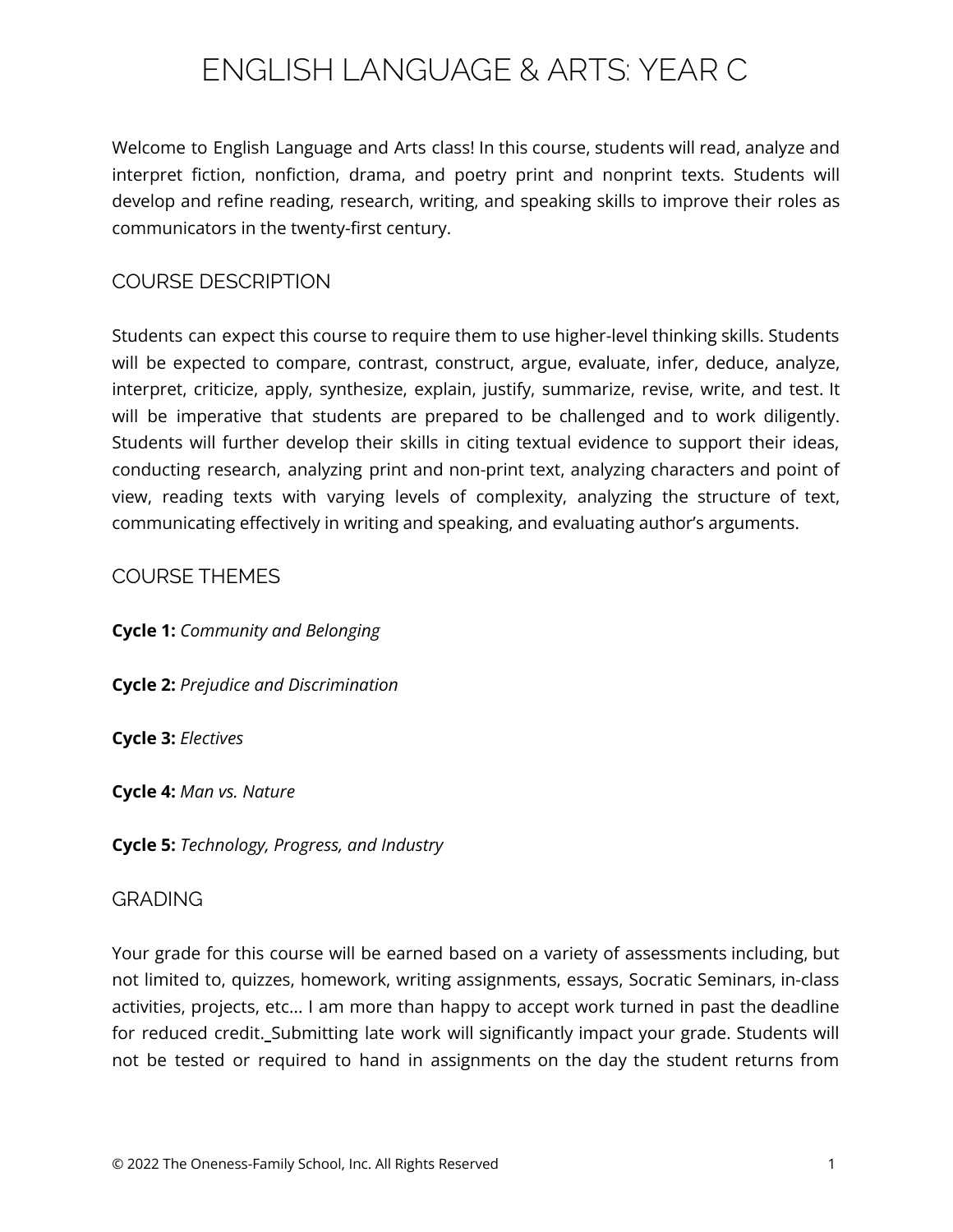# ENGLISH LANGUAGE & ARTS: YEAR C

Welcome to English Language and Arts class! In this course, students will read, analyze and interpret fiction, nonfiction, drama, and poetry print and nonprint texts. Students will develop and refine reading, research, writing, and speaking skills to improve their roles as communicators in the twenty-first century.

## COURSE DESCRIPTION

Students can expect this course to require them to use higher-level thinking skills. Students will be expected to compare, contrast, construct, argue, evaluate, infer, deduce, analyze, interpret, criticize, apply, synthesize, explain, justify, summarize, revise, write, and test. It will be imperative that students are prepared to be challenged and to work diligently. Students will further develop their skills in citing textual evidence to support their ideas, conducting research, analyzing print and non-print text, analyzing characters and point of view, reading texts with varying levels of complexity, analyzing the structure of text, communicating effectively in writing and speaking, and evaluating author's arguments.

## COURSE THEMES

**Cycle 1:** *Community and Belonging*

**Cycle 2:** *Prejudice and Discrimination*

**Cycle 3:** *Electives*

**Cycle 4:** *Man vs. Nature*

**Cycle 5:** *Technology, Progress, and Industry*

#### GRADING

Your grade for this course will be earned based on a variety of assessments including, but not limited to, quizzes, homework, writing assignments, essays, Socratic Seminars, in-class activities, projects, etc... I am more than happy to accept work turned in past the deadline for reduced credit. Submitting late work will significantly impact your grade. Students will not be tested or required to hand in assignments on the day the student returns from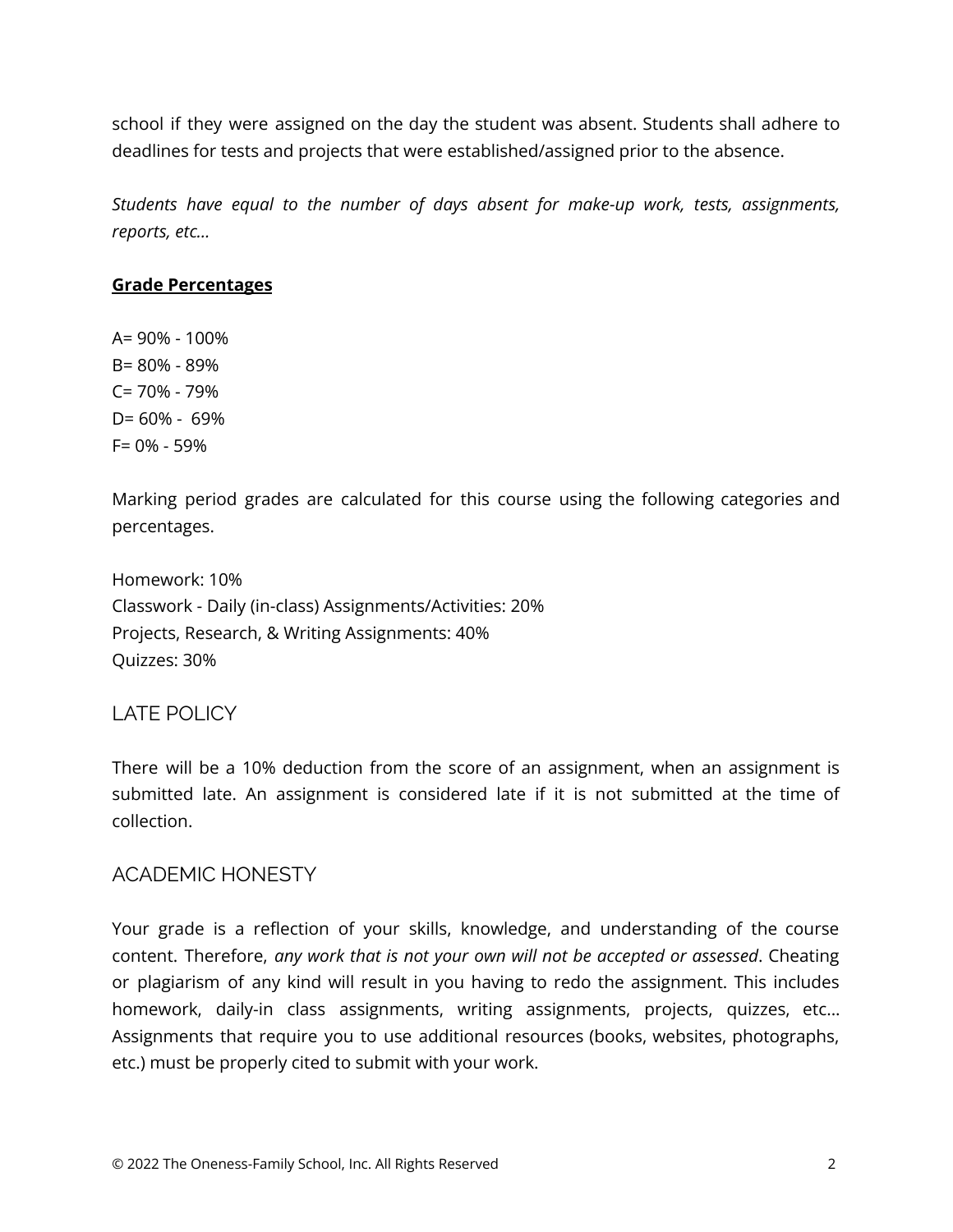school if they were assigned on the day the student was absent. Students shall adhere to deadlines for tests and projects that were established/assigned prior to the absence.

*Students have equal to the number of days absent for make-up work, tests, assignments, reports, etc…*

#### **Grade Percentages**

A= 90% - 100% B= 80% - 89% C= 70% - 79% D= 60% - 69% F= 0% - 59%

Marking period grades are calculated for this course using the following categories and percentages.

Homework: 10% Classwork - Daily (in-class) Assignments/Activities: 20% Projects, Research, & Writing Assignments: 40% Quizzes: 30%

## LATE POLICY

There will be a 10% deduction from the score of an assignment, when an assignment is submitted late. An assignment is considered late if it is not submitted at the time of collection.

#### ACADEMIC HONESTY

Your grade is a reflection of your skills, knowledge, and understanding of the course content. Therefore, *any work that is not your own will not be accepted or assessed*. Cheating or plagiarism of any kind will result in you having to redo the assignment. This includes homework, daily-in class assignments, writing assignments, projects, quizzes, etc... Assignments that require you to use additional resources (books, websites, photographs, etc.) must be properly cited to submit with your work.